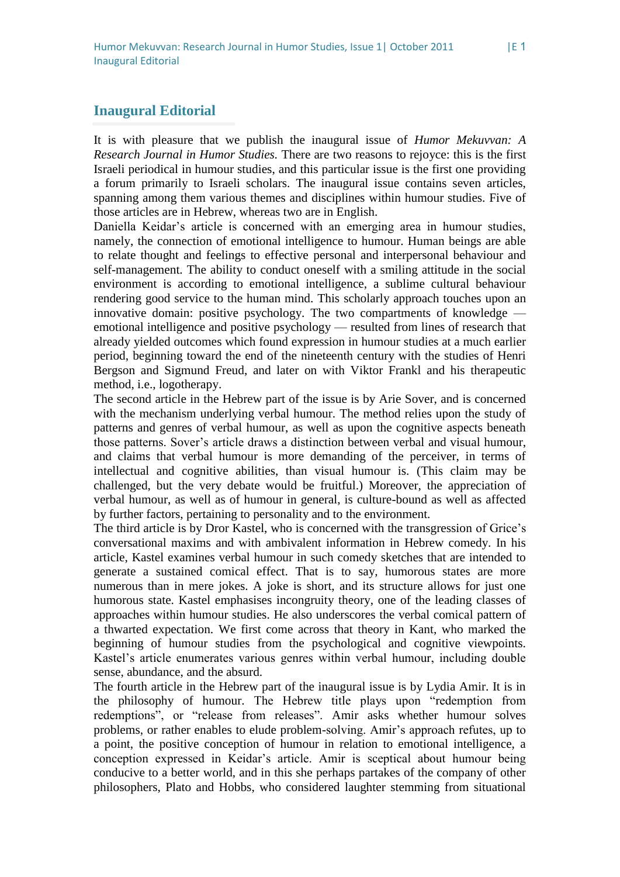## **Inaugural Editorial**

It is with pleasure that we publish the inaugural issue of *Humor Mekuvvan: A Research Journal in Humor Studies.* There are two reasons to rejoyce: this is the first Israeli periodical in humour studies, and this particular issue is the first one providing a forum primarily to Israeli scholars. The inaugural issue contains seven articles, spanning among them various themes and disciplines within humour studies. Five of those articles are in Hebrew, whereas two are in English.

Daniella Keidar's article is concerned with an emerging area in humour studies, namely, the connection of emotional intelligence to humour. Human beings are able to relate thought and feelings to effective personal and interpersonal behaviour and self-management. The ability to conduct oneself with a smiling attitude in the social environment is according to emotional intelligence, a sublime cultural behaviour rendering good service to the human mind. This scholarly approach touches upon an innovative domain: positive psychology. The two compartments of knowledge emotional intelligence and positive psychology — resulted from lines of research that already yielded outcomes which found expression in humour studies at a much earlier period, beginning toward the end of the nineteenth century with the studies of Henri Bergson and Sigmund Freud, and later on with Viktor Frankl and his therapeutic method, i.e., logotherapy.

The second article in the Hebrew part of the issue is by Arie Sover, and is concerned with the mechanism underlying verbal humour. The method relies upon the study of patterns and genres of verbal humour, as well as upon the cognitive aspects beneath those patterns. Sover's article draws a distinction between verbal and visual humour, and claims that verbal humour is more demanding of the perceiver, in terms of intellectual and cognitive abilities, than visual humour is. (This claim may be challenged, but the very debate would be fruitful.) Moreover, the appreciation of verbal humour, as well as of humour in general, is culture-bound as well as affected by further factors, pertaining to personality and to the environment.

The third article is by Dror Kastel, who is concerned with the transgression of Grice's conversational maxims and with ambivalent information in Hebrew comedy. In his article, Kastel examines verbal humour in such comedy sketches that are intended to generate a sustained comical effect. That is to say, humorous states are more numerous than in mere jokes. A joke is short, and its structure allows for just one humorous state. Kastel emphasises incongruity theory, one of the leading classes of approaches within humour studies. He also underscores the verbal comical pattern of a thwarted expectation. We first come across that theory in Kant, who marked the beginning of humour studies from the psychological and cognitive viewpoints. Kastel's article enumerates various genres within verbal humour, including double sense, abundance, and the absurd.

The fourth article in the Hebrew part of the inaugural issue is by Lydia Amir. It is in the philosophy of humour. The Hebrew title plays upon "redemption from redemptions", or "release from releases". Amir asks whether humour solves problems, or rather enables to elude problem-solving. Amir's approach refutes, up to a point, the positive conception of humour in relation to emotional intelligence, a conception expressed in Keidar's article. Amir is sceptical about humour being conducive to a better world, and in this she perhaps partakes of the company of other philosophers, Plato and Hobbs, who considered laughter stemming from situational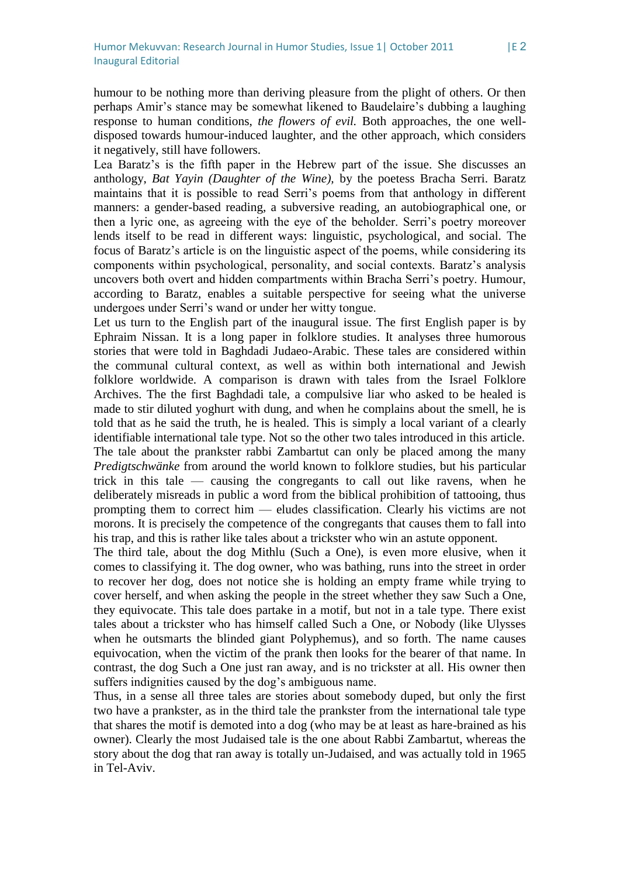humour to be nothing more than deriving pleasure from the plight of others. Or then perhaps Amir's stance may be somewhat likened to Baudelaire's dubbing a laughing response to human conditions, *the flowers of evil.* Both approaches, the one welldisposed towards humour-induced laughter, and the other approach, which considers it negatively, still have followers.

Lea Baratz's is the fifth paper in the Hebrew part of the issue. She discusses an anthology, *Bat Yayin (Daughter of the Wine),* by the poetess Bracha Serri. Baratz maintains that it is possible to read Serri's poems from that anthology in different manners: a gender-based reading, a subversive reading, an autobiographical one, or then a lyric one, as agreeing with the eye of the beholder. Serri's poetry moreover lends itself to be read in different ways: linguistic, psychological, and social. The focus of Baratz's article is on the linguistic aspect of the poems, while considering its components within psychological, personality, and social contexts. Baratz's analysis uncovers both overt and hidden compartments within Bracha Serri's poetry. Humour, according to Baratz, enables a suitable perspective for seeing what the universe undergoes under Serri's wand or under her witty tongue.

Let us turn to the English part of the inaugural issue. The first English paper is by Ephraim Nissan. It is a long paper in folklore studies. It analyses three humorous stories that were told in Baghdadi Judaeo-Arabic. These tales are considered within the communal cultural context, as well as within both international and Jewish folklore worldwide. A comparison is drawn with tales from the Israel Folklore Archives. The the first Baghdadi tale, a compulsive liar who asked to be healed is made to stir diluted yoghurt with dung, and when he complains about the smell, he is told that as he said the truth, he is healed. This is simply a local variant of a clearly identifiable international tale type. Not so the other two tales introduced in this article. The tale about the prankster rabbi Zambartut can only be placed among the many *Predigtschwänke* from around the world known to folklore studies, but his particular trick in this tale — causing the congregants to call out like ravens, when he deliberately misreads in public a word from the biblical prohibition of tattooing, thus prompting them to correct him — eludes classification. Clearly his victims are not morons. It is precisely the competence of the congregants that causes them to fall into his trap, and this is rather like tales about a trickster who win an astute opponent.

The third tale, about the dog Mithlu (Such a One), is even more elusive, when it comes to classifying it. The dog owner, who was bathing, runs into the street in order to recover her dog, does not notice she is holding an empty frame while trying to cover herself, and when asking the people in the street whether they saw Such a One, they equivocate. This tale does partake in a motif, but not in a tale type. There exist tales about a trickster who has himself called Such a One, or Nobody (like Ulysses when he outsmarts the blinded giant Polyphemus), and so forth. The name causes equivocation, when the victim of the prank then looks for the bearer of that name. In contrast, the dog Such a One just ran away, and is no trickster at all. His owner then suffers indignities caused by the dog's ambiguous name.

Thus, in a sense all three tales are stories about somebody duped, but only the first two have a prankster, as in the third tale the prankster from the international tale type that shares the motif is demoted into a dog (who may be at least as hare-brained as his owner). Clearly the most Judaised tale is the one about Rabbi Zambartut, whereas the story about the dog that ran away is totally un-Judaised, and was actually told in 1965 in Tel-Aviv.